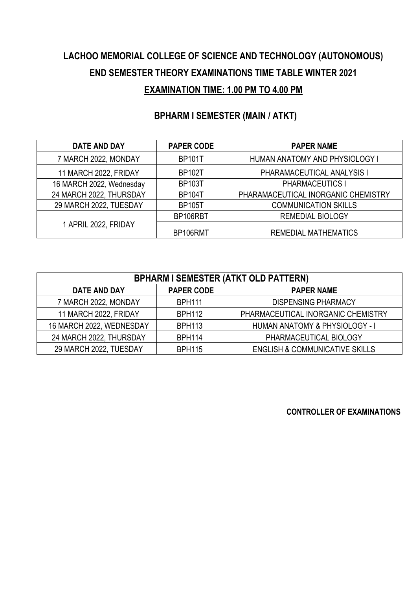| <b>DATE AND DAY</b>      | <b>PAPER CODE</b> | <b>PAPER NAME</b>                   |
|--------------------------|-------------------|-------------------------------------|
| 7 MARCH 2022, MONDAY     | <b>BP101T</b>     | HUMAN ANATOMY AND PHYSIOLOGY I      |
| 11 MARCH 2022, FRIDAY    | <b>BP102T</b>     | PHARAMACEUTICAL ANALYSIS I          |
| 16 MARCH 2022, Wednesday | <b>BP103T</b>     | <b>PHARMACEUTICS I</b>              |
| 24 MARCH 2022, THURSDAY  | <b>BP104T</b>     | PHARAMACEUTICAL INORGANIC CHEMISTRY |
| 29 MARCH 2022, TUESDAY   | <b>BP105T</b>     | <b>COMMUNICATION SKILLS</b>         |
|                          | BP106RBT          | <b>REMEDIAL BIOLOGY</b>             |
| 1 APRIL 2022, FRIDAY     | BP106RMT          | <b>REMEDIAL MATHEMATICS</b>         |

### **BPHARM I SEMESTER (MAIN / ATKT)**

| <b>BPHARM I SEMESTER (ATKT OLD PATTERN)</b> |                   |                                           |  |
|---------------------------------------------|-------------------|-------------------------------------------|--|
| <b>DATE AND DAY</b>                         | <b>PAPER CODE</b> | <b>PAPER NAME</b>                         |  |
| 7 MARCH 2022, MONDAY                        | <b>BPH111</b>     | <b>DISPENSING PHARMACY</b>                |  |
| 11 MARCH 2022, FRIDAY                       | <b>BPH112</b>     | PHARMACEUTICAL INORGANIC CHEMISTRY        |  |
| 16 MARCH 2022, WEDNESDAY                    | <b>BPH113</b>     | HUMAN ANATOMY & PHYSIOLOGY - I            |  |
| 24 MARCH 2022, THURSDAY                     | <b>BPH114</b>     | PHARMACEUTICAL BIOLOGY                    |  |
| 29 MARCH 2022, TUESDAY                      | <b>BPH115</b>     | <b>ENGLISH &amp; COMMUNICATIVE SKILLS</b> |  |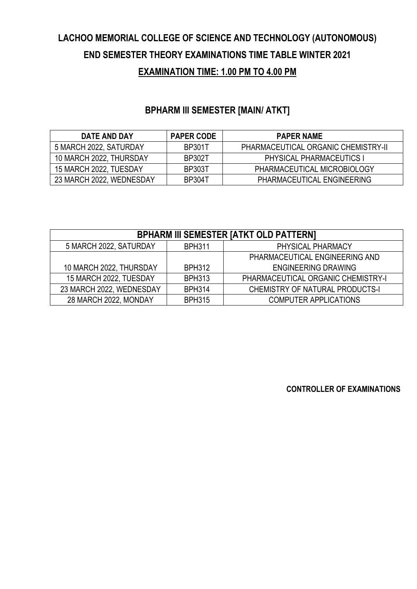#### **BPHARM III SEMESTER [MAIN/ ATKT]**

| DATE AND DAY             | <b>PAPER CODE</b> | <b>PAPER NAME</b>                   |
|--------------------------|-------------------|-------------------------------------|
| 5 MARCH 2022, SATURDAY   | <b>BP301T</b>     | PHARMACEUTICAL ORGANIC CHEMISTRY-II |
| 10 MARCH 2022, THURSDAY  | <b>BP302T</b>     | <b>PHYSICAL PHARMACEUTICS I</b>     |
| 15 MARCH 2022, TUESDAY   | <b>BP303T</b>     | PHARMACEUTICAL MICROBIOLOGY         |
| 23 MARCH 2022, WEDNESDAY | <b>BP304T</b>     | PHARMACEUTICAL ENGINEERING          |

| <b>BPHARM III SEMESTER [ATKT OLD PATTERN]</b> |               |                                    |
|-----------------------------------------------|---------------|------------------------------------|
| 5 MARCH 2022, SATURDAY                        | <b>BPH311</b> | PHYSICAL PHARMACY                  |
|                                               |               | PHARMACEUTICAL ENGINEERING AND     |
| 10 MARCH 2022, THURSDAY                       | <b>BPH312</b> | <b>ENGINEERING DRAWING</b>         |
| 15 MARCH 2022, TUESDAY                        | <b>BPH313</b> | PHARMACEUTICAL ORGANIC CHEMISTRY-I |
| 23 MARCH 2022, WEDNESDAY                      | <b>BPH314</b> | CHEMISTRY OF NATURAL PRODUCTS-I    |
| 28 MARCH 2022, MONDAY                         | <b>BPH315</b> | <b>COMPUTER APPLICATIONS</b>       |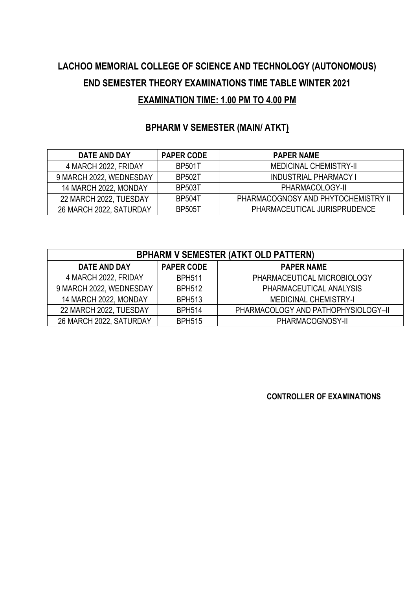| DATE AND DAY            | <b>PAPER CODE</b> | <b>PAPER NAME</b>                   |
|-------------------------|-------------------|-------------------------------------|
| 4 MARCH 2022, FRIDAY    | <b>BP501T</b>     | <b>MEDICINAL CHEMISTRY-II</b>       |
| 9 MARCH 2022, WEDNESDAY | <b>BP502T</b>     | <b>INDUSTRIAL PHARMACY I</b>        |
| 14 MARCH 2022, MONDAY   | <b>BP503T</b>     | PHARMACOLOGY-II                     |
| 22 MARCH 2022, TUESDAY  | <b>BP504T</b>     | PHARMACOGNOSY AND PHYTOCHEMISTRY II |
| 26 MARCH 2022, SATURDAY | <b>BP505T</b>     | PHARMACEUTICAL JURISPRUDENCE        |

#### **BPHARM V SEMESTER (MAIN/ ATKT)**

| <b>BPHARM V SEMESTER (ATKT OLD PATTERN)</b> |                   |                                     |  |
|---------------------------------------------|-------------------|-------------------------------------|--|
| <b>DATE AND DAY</b>                         | <b>PAPER CODE</b> | <b>PAPER NAME</b>                   |  |
| 4 MARCH 2022, FRIDAY                        | <b>BPH511</b>     | PHARMACEUTICAL MICROBIOLOGY         |  |
| 9 MARCH 2022, WEDNESDAY                     | <b>BPH512</b>     | PHARMACEUTICAL ANALYSIS             |  |
| 14 MARCH 2022, MONDAY                       | <b>BPH513</b>     | <b>MEDICINAL CHEMISTRY-I</b>        |  |
| 22 MARCH 2022, TUESDAY                      | <b>BPH514</b>     | PHARMACOLOGY AND PATHOPHYSIOLOGY-II |  |
| 26 MARCH 2022, SATURDAY                     | <b>BPH515</b>     | PHARMACOGNOSY-II                    |  |